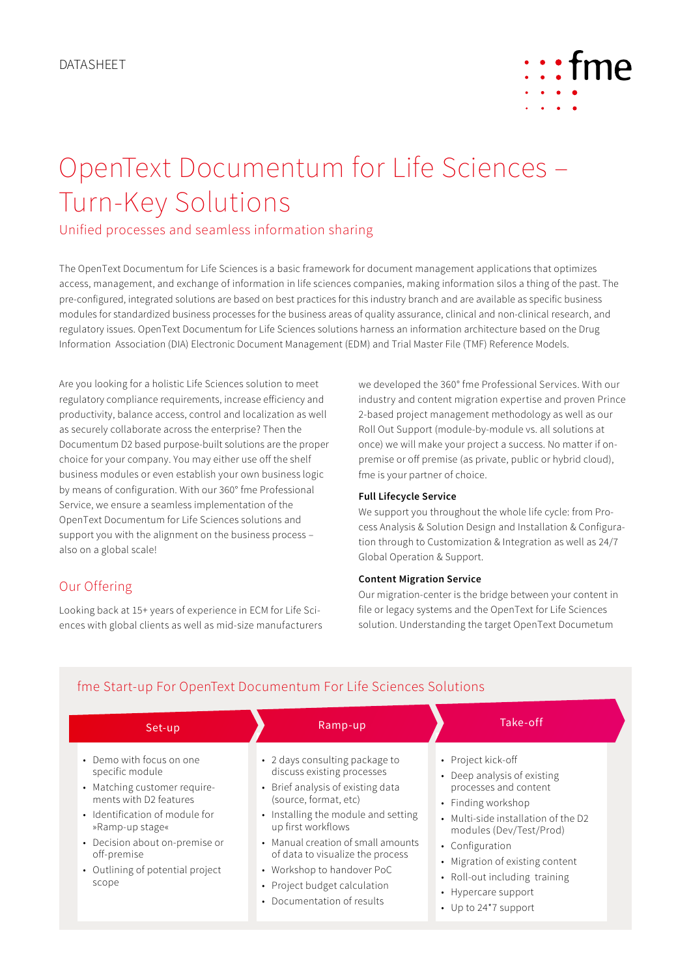

# OpenText Documentum for Life Sciences – Turn-Key Solutions

Unified processes and seamless information sharing

The OpenText Documentum for Life Sciences is a basic framework for document management applications that optimizes access, management, and exchange of information in life sciences companies, making information silos a thing of the past. The pre-configured, integrated solutions are based on best practices for this industry branch and are available as specific business modules for standardized business processes for the business areas of quality assurance, clinical and non-clinical research, and regulatory issues. OpenText Documentum for Life Sciences solutions harness an information architecture based on the Drug Information Association (DIA) Electronic Document Management (EDM) and Trial Master File (TMF) Reference Models.

Are you looking for a holistic Life Sciences solution to meet regulatory compliance requirements, increase efficiency and productivity, balance access, control and localization as well as securely collaborate across the enterprise? Then the Documentum D2 based purpose-built solutions are the proper choice for your company. You may either use off the shelf business modules or even establish your own business logic by means of configuration. With our 360° fme Professional Service, we ensure a seamless implementation of the OpenText Documentum for Life Sciences solutions and support you with the alignment on the business process – also on a global scale!

## Our Offering

Looking back at 15+ years of experience in ECM for Life Sciences with global clients as well as mid-size manufacturers we developed the 360° fme Professional Services. With our industry and content migration expertise and proven Prince 2-based project management methodology as well as our Roll Out Support (module-by-module vs. all solutions at once) we will make your project a success. No matter if onpremise or off premise (as private, public or hybrid cloud), fme is your partner of choice.

### **Full Lifecycle Service**

We support you throughout the whole life cycle: from Process Analysis & Solution Design and Installation & Configuration through to Customization & Integration as well as 24/7 Global Operation & Support.

### **Content Migration Service**

Our migration-center is the bridge between your content in file or legacy systems and the OpenText for Life Sciences solution. Understanding the target OpenText Documetum

| Set-up                                                                                                                                                                                                                                                   | Ramp-up                                                                                                                                                                                                                                                                                                                                                       | Take-off                                                                                                                                                                                                                                                                                                 |
|----------------------------------------------------------------------------------------------------------------------------------------------------------------------------------------------------------------------------------------------------------|---------------------------------------------------------------------------------------------------------------------------------------------------------------------------------------------------------------------------------------------------------------------------------------------------------------------------------------------------------------|----------------------------------------------------------------------------------------------------------------------------------------------------------------------------------------------------------------------------------------------------------------------------------------------------------|
| • Demo with focus on one<br>specific module<br>• Matching customer require-<br>ments with D2 features<br>• Identification of module for<br>»Ramp-up stage«<br>• Decision about on-premise or<br>off-premise<br>• Outlining of potential project<br>scope | • 2 days consulting package to<br>discuss existing processes<br>• Brief analysis of existing data<br>(source, format, etc)<br>• Installing the module and setting<br>up first workflows<br>• Manual creation of small amounts<br>of data to visualize the process<br>• Workshop to handover PoC<br>• Project budget calculation<br>• Documentation of results | • Project kick-off<br>• Deep analysis of existing<br>processes and content<br>• Finding workshop<br>• Multi-side installation of the D2<br>modules (Dev/Test/Prod)<br>• Configuration<br>• Migration of existing content<br>• Roll-out including training<br>• Hypercare support<br>• Up to 24*7 support |

## fme Start-up For OpenText Documentum For Life Sciences Solutions